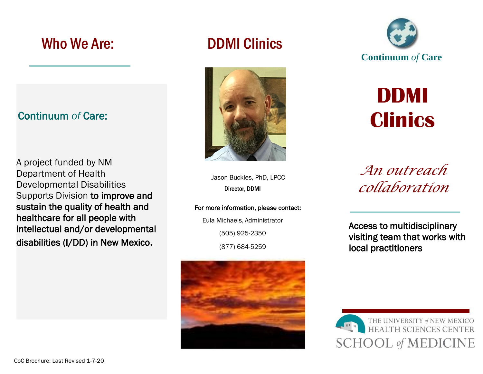# Who We Are: DDMI Clinics

## Continuum *of* Care:

A project funded by NM Department of Health Developmental Disabilities Supports Division to improve and sustain the quality of health and healthcare for all people with intellectual and/or developmental disabilities (I/DD) in New Mexico*.*



Jason Buckles, PhD, LPCC Director, DDMI

For more information, please contact:

Eula Michaels, Administrator (505) 925-2350 (877) 684-5259





**DDMI Clinics**

*An outreach collaboration*

 Access to multidisciplinary visiting team that works with local practitioners